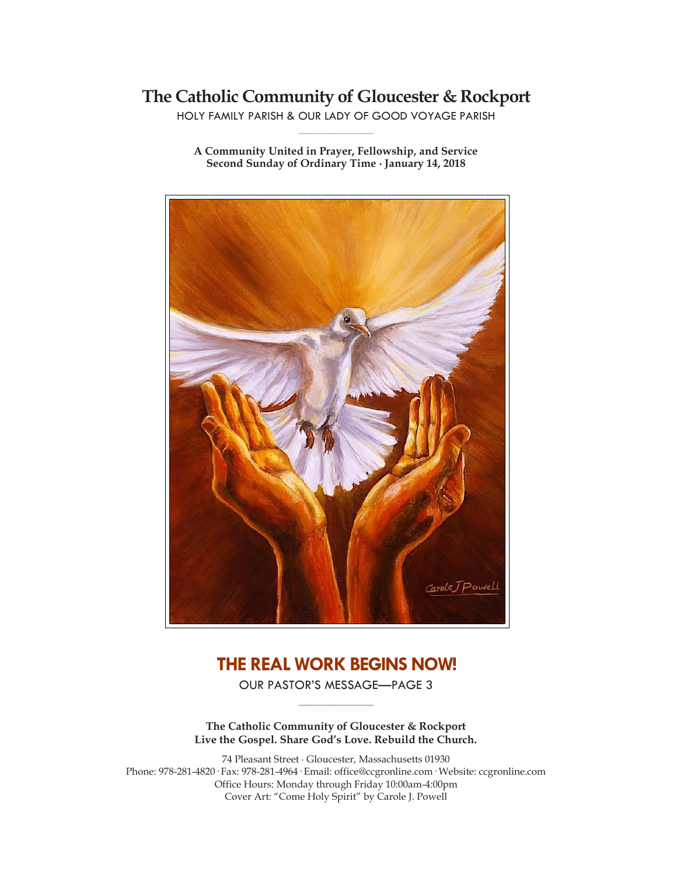# **The Catholic Community of Gloucester & Rockport**

HOLY FAMILY PARISH & OUR LADY OF GOOD VOYAGE PARISH **\_\_\_\_\_\_\_\_\_\_\_\_\_\_\_\_\_\_\_\_\_\_\_\_\_\_\_\_\_**

**A Community United in Prayer, Fellowship, and Service Second Sunday of Ordinary Time ∙ January 14, 2018**



# **THE REAL WORK BEGINS NOW!**

OUR PASTOR'S MESSAGE—PAGE 3 **\_\_\_\_\_\_\_\_\_\_\_\_\_\_\_\_\_\_\_\_\_\_\_\_\_\_\_\_\_**

**The Catholic Community of Gloucester & Rockport Live the Gospel. Share God's Love. Rebuild the Church.**

74 Pleasant Street ∙ Gloucester, Massachusetts 01930 Phone: 978-281-4820· Fax: 978-281-4964· Email: office@ccgronline.com· Website: ccgronline.com Office Hours: Monday through Friday 10:00am-4:00pm Cover Art: "Come Holy Spirit" by Carole J. Powell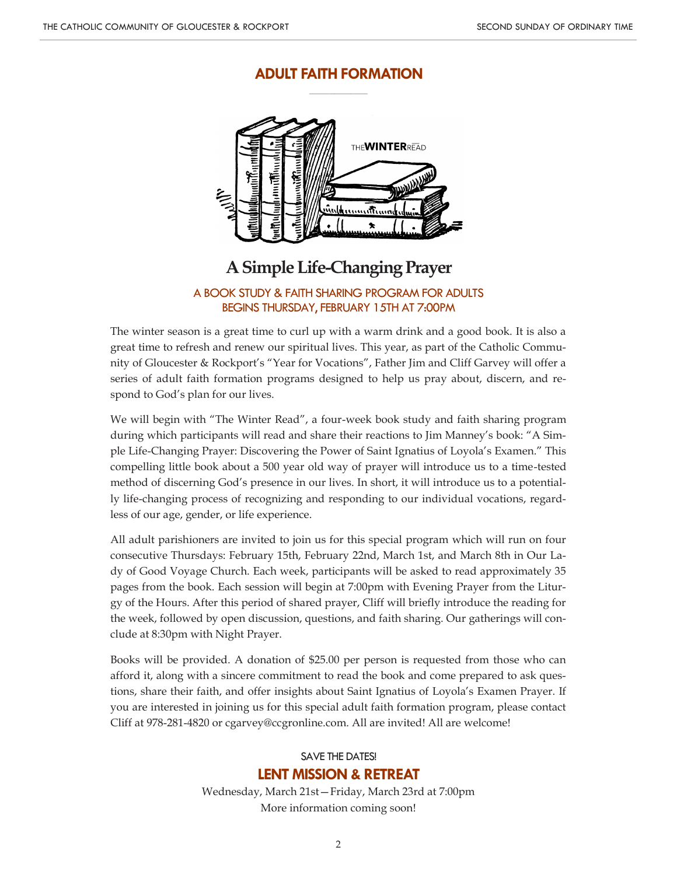## **ADULT FAITH FORMATION \_\_\_\_\_\_\_\_\_\_\_\_\_\_\_\_\_\_\_\_\_**



# **A Simple Life-Changing Prayer**

## A BOOK STUDY & FAITH SHARING PROGRAM FOR ADULTS BEGINS THURSDAY, FEBRUARY 15TH AT 7:00PM

The winter season is a great time to curl up with a warm drink and a good book. It is also a great time to refresh and renew our spiritual lives. This year, as part of the Catholic Community of Gloucester & Rockport's "Year for Vocations", Father Jim and Cliff Garvey will offer a series of adult faith formation programs designed to help us pray about, discern, and respond to God's plan for our lives.

We will begin with "The Winter Read", a four-week book study and faith sharing program during which participants will read and share their reactions to Jim Manney's book: "A Simple Life-Changing Prayer: Discovering the Power of Saint Ignatius of Loyola's Examen." This compelling little book about a 500 year old way of prayer will introduce us to a time-tested method of discerning God's presence in our lives. In short, it will introduce us to a potentially life-changing process of recognizing and responding to our individual vocations, regardless of our age, gender, or life experience.

All adult parishioners are invited to join us for this special program which will run on four consecutive Thursdays: February 15th, February 22nd, March 1st, and March 8th in Our Lady of Good Voyage Church. Each week, participants will be asked to read approximately 35 pages from the book. Each session will begin at 7:00pm with Evening Prayer from the Liturgy of the Hours. After this period of shared prayer, Cliff will briefly introduce the reading for the week, followed by open discussion, questions, and faith sharing. Our gatherings will conclude at 8:30pm with Night Prayer.

Books will be provided. A donation of \$25.00 per person is requested from those who can afford it, along with a sincere commitment to read the book and come prepared to ask questions, share their faith, and offer insights about Saint Ignatius of Loyola's Examen Prayer. If you are interested in joining us for this special adult faith formation program, please contact Cliff at 978-281-4820 or cgarvey@ccgronline.com. All are invited! All are welcome!

# SAVE THE DATES! **LENT MISSION & RETREAT**

Wednesday, March 21st—Friday, March 23rd at 7:00pm More information coming soon!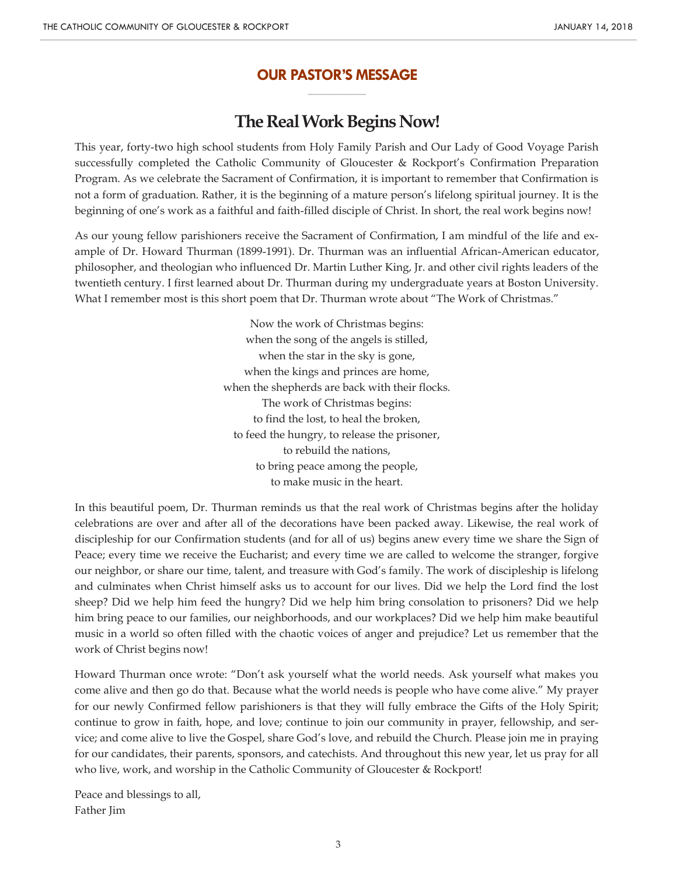## **OUR PASTOR'S MESSAGE \_\_\_\_\_\_\_\_\_\_\_\_\_\_\_\_\_\_\_\_\_**

# **The Real Work Begins Now!**

This year, forty-two high school students from Holy Family Parish and Our Lady of Good Voyage Parish successfully completed the Catholic Community of Gloucester & Rockport's Confirmation Preparation Program. As we celebrate the Sacrament of Confirmation, it is important to remember that Confirmation is not a form of graduation. Rather, it is the beginning of a mature person's lifelong spiritual journey. It is the beginning of one's work as a faithful and faith-filled disciple of Christ. In short, the real work begins now!

As our young fellow parishioners receive the Sacrament of Confirmation, I am mindful of the life and example of Dr. Howard Thurman (1899-1991). Dr. Thurman was an influential African-American educator, philosopher, and theologian who influenced Dr. Martin Luther King, Jr. and other civil rights leaders of the twentieth century. I first learned about Dr. Thurman during my undergraduate years at Boston University. What I remember most is this short poem that Dr. Thurman wrote about "The Work of Christmas."

> Now the work of Christmas begins: when the song of the angels is stilled, when the star in the sky is gone, when the kings and princes are home, when the shepherds are back with their flocks. The work of Christmas begins: to find the lost, to heal the broken, to feed the hungry, to release the prisoner, to rebuild the nations, to bring peace among the people, to make music in the heart.

In this beautiful poem, Dr. Thurman reminds us that the real work of Christmas begins after the holiday celebrations are over and after all of the decorations have been packed away. Likewise, the real work of discipleship for our Confirmation students (and for all of us) begins anew every time we share the Sign of Peace; every time we receive the Eucharist; and every time we are called to welcome the stranger, forgive our neighbor, or share our time, talent, and treasure with God's family. The work of discipleship is lifelong and culminates when Christ himself asks us to account for our lives. Did we help the Lord find the lost sheep? Did we help him feed the hungry? Did we help him bring consolation to prisoners? Did we help him bring peace to our families, our neighborhoods, and our workplaces? Did we help him make beautiful music in a world so often filled with the chaotic voices of anger and prejudice? Let us remember that the work of Christ begins now!

Howard Thurman once wrote: "Don't ask yourself what the world needs. Ask yourself what makes you come alive and then go do that. Because what the world needs is people who have come alive." My prayer for our newly Confirmed fellow parishioners is that they will fully embrace the Gifts of the Holy Spirit; continue to grow in faith, hope, and love; continue to join our community in prayer, fellowship, and service; and come alive to live the Gospel, share God's love, and rebuild the Church. Please join me in praying for our candidates, their parents, sponsors, and catechists. And throughout this new year, let us pray for all who live, work, and worship in the Catholic Community of Gloucester & Rockport!

Peace and blessings to all, Father Jim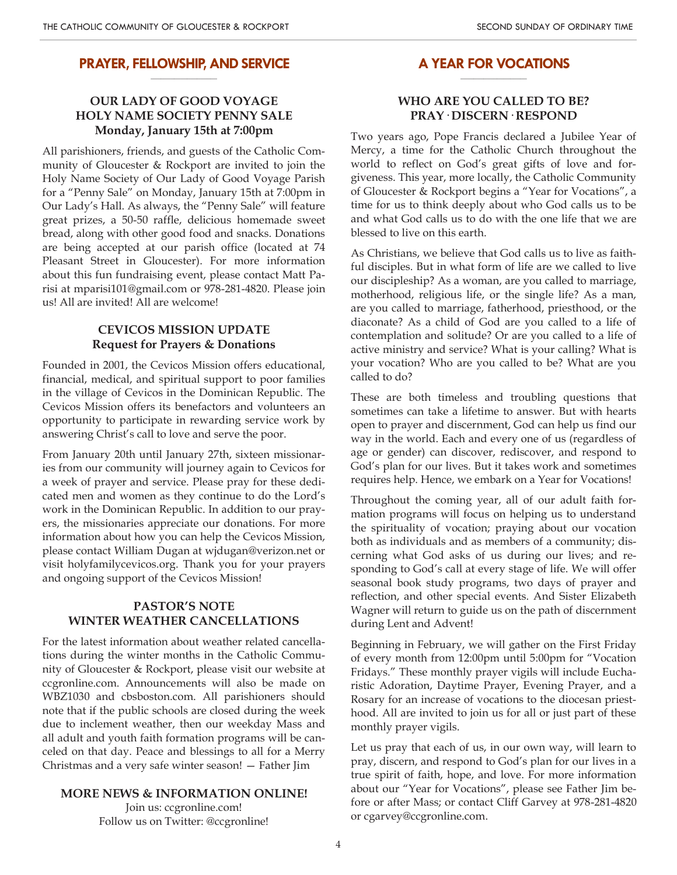#### **PRAYER, FELLOWSHIP, AND SERVICE \_\_\_\_\_\_\_\_\_\_\_\_\_\_\_\_\_\_\_\_**

## **OUR LADY OF GOOD VOYAGE HOLY NAME SOCIETY PENNY SALE Monday, January 15th at 7:00pm**

All parishioners, friends, and guests of the Catholic Community of Gloucester & Rockport are invited to join the Holy Name Society of Our Lady of Good Voyage Parish for a "Penny Sale" on Monday, January 15th at 7:00pm in Our Lady's Hall. As always, the "Penny Sale" will feature great prizes, a 50-50 raffle, delicious homemade sweet bread, along with other good food and snacks. Donations are being accepted at our parish office (located at 74 Pleasant Street in Gloucester). For more information about this fun fundraising event, please contact Matt Parisi at mparisi101@gmail.com or 978-281-4820. Please join us! All are invited! All are welcome!

## **CEVICOS MISSION UPDATE Request for Prayers & Donations**

Founded in 2001, the Cevicos Mission offers educational, financial, medical, and spiritual support to poor families in the village of Cevicos in the Dominican Republic. The Cevicos Mission offers its benefactors and volunteers an opportunity to participate in rewarding service work by answering Christ's call to love and serve the poor.

From January 20th until January 27th, sixteen missionaries from our community will journey again to Cevicos for a week of prayer and service. Please pray for these dedicated men and women as they continue to do the Lord's work in the Dominican Republic. In addition to our prayers, the missionaries appreciate our donations. For more information about how you can help the Cevicos Mission, please contact William Dugan at wjdugan@verizon.net or visit holyfamilycevicos.org. Thank you for your prayers and ongoing support of the Cevicos Mission!

## **PASTOR'S NOTE WINTER WEATHER CANCELLATIONS**

For the latest information about weather related cancellations during the winter months in the Catholic Community of Gloucester & Rockport, please visit our website at ccgronline.com. Announcements will also be made on WBZ1030 and cbsboston.com. All parishioners should note that if the public schools are closed during the week due to inclement weather, then our weekday Mass and all adult and youth faith formation programs will be canceled on that day. Peace and blessings to all for a Merry Christmas and a very safe winter season! — Father Jim

## **MORE NEWS & INFORMATION ONLINE!**

Join us: ccgronline.com! Follow us on Twitter: @ccgronline!

#### **A YEAR FOR VOCATIONS \_\_\_\_\_\_\_\_\_\_\_\_\_\_\_\_\_\_\_\_**

## **WHO ARE YOU CALLED TO BE? PRAY· DISCERN· RESPOND**

Two years ago, Pope Francis declared a Jubilee Year of Mercy, a time for the Catholic Church throughout the world to reflect on God's great gifts of love and forgiveness. This year, more locally, the Catholic Community of Gloucester & Rockport begins a "Year for Vocations", a time for us to think deeply about who God calls us to be and what God calls us to do with the one life that we are blessed to live on this earth.

As Christians, we believe that God calls us to live as faithful disciples. But in what form of life are we called to live our discipleship? As a woman, are you called to marriage, motherhood, religious life, or the single life? As a man, are you called to marriage, fatherhood, priesthood, or the diaconate? As a child of God are you called to a life of contemplation and solitude? Or are you called to a life of active ministry and service? What is your calling? What is your vocation? Who are you called to be? What are you called to do?

These are both timeless and troubling questions that sometimes can take a lifetime to answer. But with hearts open to prayer and discernment, God can help us find our way in the world. Each and every one of us (regardless of age or gender) can discover, rediscover, and respond to God's plan for our lives. But it takes work and sometimes requires help. Hence, we embark on a Year for Vocations!

Throughout the coming year, all of our adult faith formation programs will focus on helping us to understand the spirituality of vocation; praying about our vocation both as individuals and as members of a community; discerning what God asks of us during our lives; and responding to God's call at every stage of life. We will offer seasonal book study programs, two days of prayer and reflection, and other special events. And Sister Elizabeth Wagner will return to guide us on the path of discernment during Lent and Advent!

Beginning in February, we will gather on the First Friday of every month from 12:00pm until 5:00pm for "Vocation Fridays." These monthly prayer vigils will include Eucharistic Adoration, Daytime Prayer, Evening Prayer, and a Rosary for an increase of vocations to the diocesan priesthood. All are invited to join us for all or just part of these monthly prayer vigils.

Let us pray that each of us, in our own way, will learn to pray, discern, and respond to God's plan for our lives in a true spirit of faith, hope, and love. For more information about our "Year for Vocations", please see Father Jim before or after Mass; or contact Cliff Garvey at 978-281-4820 or cgarvey@ccgronline.com.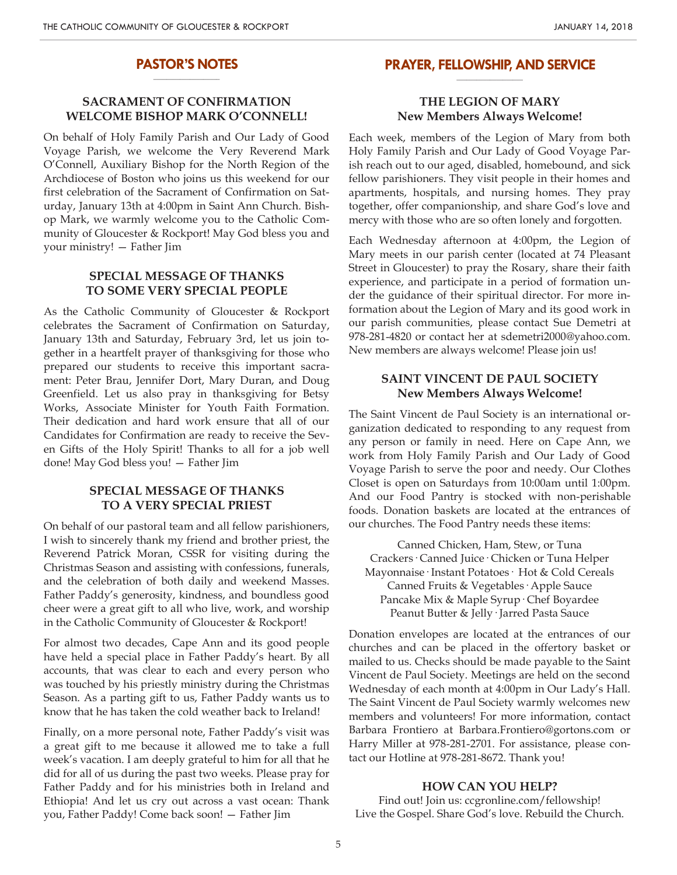#### **PASTOR'S NOTES \_\_\_\_\_\_\_\_\_\_\_\_\_\_\_\_\_\_\_\_**

## **SACRAMENT OF CONFIRMATION WELCOME BISHOP MARK O'CONNELL!**

On behalf of Holy Family Parish and Our Lady of Good Voyage Parish, we welcome the Very Reverend Mark O'Connell, Auxiliary Bishop for the North Region of the Archdiocese of Boston who joins us this weekend for our first celebration of the Sacrament of Confirmation on Saturday, January 13th at 4:00pm in Saint Ann Church. Bishop Mark, we warmly welcome you to the Catholic Community of Gloucester & Rockport! May God bless you and your ministry! — Father Jim

## **SPECIAL MESSAGE OF THANKS TO SOME VERY SPECIAL PEOPLE**

As the Catholic Community of Gloucester & Rockport celebrates the Sacrament of Confirmation on Saturday, January 13th and Saturday, February 3rd, let us join together in a heartfelt prayer of thanksgiving for those who prepared our students to receive this important sacrament: Peter Brau, Jennifer Dort, Mary Duran, and Doug Greenfield. Let us also pray in thanksgiving for Betsy Works, Associate Minister for Youth Faith Formation. Their dedication and hard work ensure that all of our Candidates for Confirmation are ready to receive the Seven Gifts of the Holy Spirit! Thanks to all for a job well done! May God bless you! — Father Jim

## **SPECIAL MESSAGE OF THANKS TO A VERY SPECIAL PRIEST**

On behalf of our pastoral team and all fellow parishioners, I wish to sincerely thank my friend and brother priest, the Reverend Patrick Moran, CSSR for visiting during the Christmas Season and assisting with confessions, funerals, and the celebration of both daily and weekend Masses. Father Paddy's generosity, kindness, and boundless good cheer were a great gift to all who live, work, and worship in the Catholic Community of Gloucester & Rockport!

For almost two decades, Cape Ann and its good people have held a special place in Father Paddy's heart. By all accounts, that was clear to each and every person who was touched by his priestly ministry during the Christmas Season. As a parting gift to us, Father Paddy wants us to know that he has taken the cold weather back to Ireland!

Finally, on a more personal note, Father Paddy's visit was a great gift to me because it allowed me to take a full week's vacation. I am deeply grateful to him for all that he did for all of us during the past two weeks. Please pray for Father Paddy and for his ministries both in Ireland and Ethiopia! And let us cry out across a vast ocean: Thank you, Father Paddy! Come back soon! — Father Jim

#### **PRAYER, FELLOWSHIP, AND SERVICE \_\_\_\_\_\_\_\_\_\_\_\_\_\_\_\_\_\_\_\_**

### **THE LEGION OF MARY New Members Always Welcome!**

Each week, members of the Legion of Mary from both Holy Family Parish and Our Lady of Good Voyage Parish reach out to our aged, disabled, homebound, and sick fellow parishioners. They visit people in their homes and apartments, hospitals, and nursing homes. They pray together, offer companionship, and share God's love and mercy with those who are so often lonely and forgotten.

Each Wednesday afternoon at 4:00pm, the Legion of Mary meets in our parish center (located at 74 Pleasant Street in Gloucester) to pray the Rosary, share their faith experience, and participate in a period of formation under the guidance of their spiritual director. For more information about the Legion of Mary and its good work in our parish communities, please contact Sue Demetri at 978-281-4820 or contact her at sdemetri2000@yahoo.com. New members are always welcome! Please join us!

## **SAINT VINCENT DE PAUL SOCIETY New Members Always Welcome!**

The Saint Vincent de Paul Society is an international organization dedicated to responding to any request from any person or family in need. Here on Cape Ann, we work from Holy Family Parish and Our Lady of Good Voyage Parish to serve the poor and needy. Our Clothes Closet is open on Saturdays from 10:00am until 1:00pm. And our Food Pantry is stocked with non-perishable foods. Donation baskets are located at the entrances of our churches. The Food Pantry needs these items:

Canned Chicken, Ham, Stew, or Tuna Crackers· Canned Juice· Chicken or Tuna Helper Mayonnaise· Instant Potatoes· Hot & Cold Cereals Canned Fruits & Vegetables· Apple Sauce Pancake Mix & Maple Syrup· Chef Boyardee Peanut Butter & Jelly· Jarred Pasta Sauce

Donation envelopes are located at the entrances of our churches and can be placed in the offertory basket or mailed to us. Checks should be made payable to the Saint Vincent de Paul Society. Meetings are held on the second Wednesday of each month at 4:00pm in Our Lady's Hall. The Saint Vincent de Paul Society warmly welcomes new members and volunteers! For more information, contact Barbara Frontiero at Barbara.Frontiero@gortons.com or Harry Miller at 978-281-2701. For assistance, please contact our Hotline at 978-281-8672. Thank you!

#### **HOW CAN YOU HELP?**

Find out! Join us: ccgronline.com/fellowship! Live the Gospel. Share God's love. Rebuild the Church.